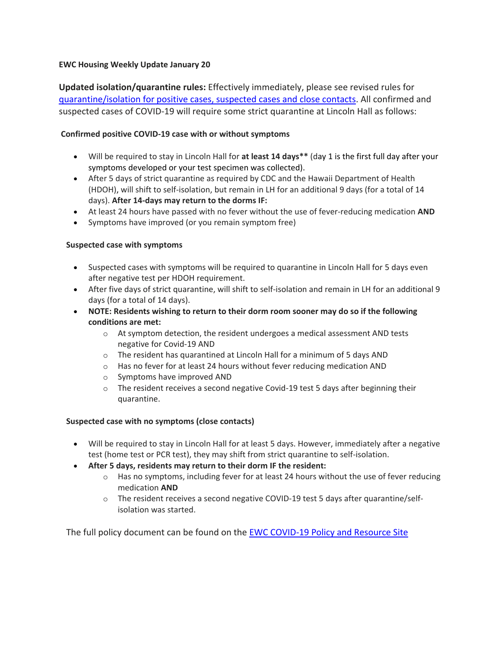## **EWC Housing Weekly Update January 20**

**Updated isolation/quarantine rules:** Effectively immediately, please see revised rules for [quarantine/isolation for positive cases, suspected cases and close contacts.](https://urldefense.proofpoint.com/v2/url?u=https-3A__ewcparticipantinfo.org_wp-2Dcontent_uploads_2022_01_Positive-2DTest-2DSymptoms-2DProcedure-2Dfor-2DStudents.pdf.&d=DwMFaQ&c=euGZstcaTDllvimEN8b7jXrwqOf-v5A_CdpgnVfiiMM&r=sjCoHaVUe8_a1MXsziR411ri4sB3BX3q50L3el6sXMQ&m=mIMidbeGjatfAtugT0fsbuLKCUMNdHoDiq-ta1QiHx4&s=XAocPtmCNIFDwGFH5_4l9d1Frqd6b5USeHQuE_6VJ4I&e=) All confirmed and suspected cases of COVID-19 will require some strict quarantine at Lincoln Hall as follows:

### **Confirmed positive COVID‐19 case with or without symptoms**

- Will be required to stay in Lincoln Hall for **at least 14 days\*\*** (day 1 is the first full day after your symptoms developed or your test specimen was collected).
- After 5 days of strict quarantine as required by CDC and the Hawaii Department of Health (HDOH), will shift to self-isolation, but remain in LH for an additional 9 days (for a total of 14 days). **After 14-days may return to the dorms IF:**
- At least 24 hours have passed with no fever without the use of fever‐reducing medication **AND**
- Symptoms have improved (or you remain symptom free)

#### **Suspected case with symptoms**

- Suspected cases with symptoms will be required to quarantine in Lincoln Hall for 5 days even after negative test per HDOH requirement.
- After five days of strict quarantine, will shift to self-isolation and remain in LH for an additional 9 days (for a total of 14 days).
- **NOTE: Residents wishing to return to their dorm room sooner may do so if the following conditions are met:**
	- $\circ$  At symptom detection, the resident undergoes a medical assessment AND tests negative for Covid-19 AND
	- o The resident has quarantined at Lincoln Hall for a minimum of 5 days AND
	- o Has no fever for at least 24 hours without fever reducing medication AND
	- o Symptoms have improved AND
	- $\circ$  The resident receives a second negative Covid-19 test 5 days after beginning their quarantine.

#### **Suspected case with no symptoms (close contacts)**

- Will be required to stay in Lincoln Hall for at least 5 days. However, immediately after a negative test (home test or PCR test), they may shift from strict quarantine to self-isolation.
- **After 5 days, residents may return to their dorm IF the resident:** 
	- $\circ$  Has no symptoms, including fever for at least 24 hours without the use of fever reducing medication **AND**
	- o The resident receives a second negative COVID‐19 test 5 days after quarantine/selfisolation was started.

The full policy document can be found on the [EWC COVID-19 Policy and Resource Site](https://urldefense.proofpoint.com/v2/url?u=https-3A__ewcparticipantinfo.org_covid-2D19_&d=DwMFaQ&c=euGZstcaTDllvimEN8b7jXrwqOf-v5A_CdpgnVfiiMM&r=sjCoHaVUe8_a1MXsziR411ri4sB3BX3q50L3el6sXMQ&m=mIMidbeGjatfAtugT0fsbuLKCUMNdHoDiq-ta1QiHx4&s=3oB0n5nQZkPGmtG0jnrrgqKLMMQmWMEdt9m0PXfauuc&e=)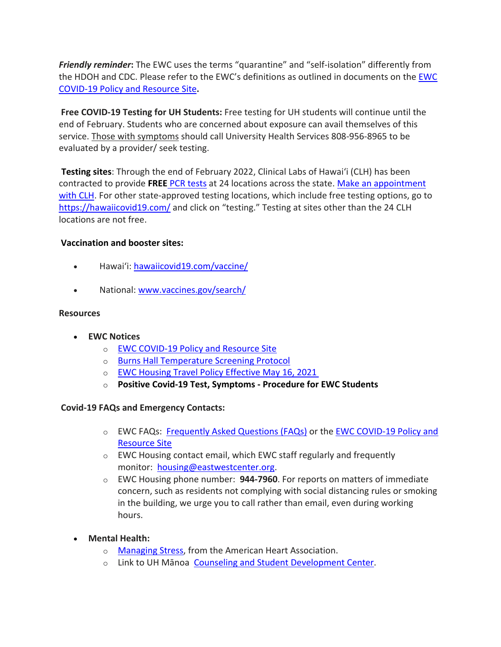*Friendly reminder***:** The EWC uses the terms "quarantine" and "self-isolation" differently from the HDOH and CDC. Please refer to the EWC's definitions as outlined in documents on the [EWC](https://urldefense.proofpoint.com/v2/url?u=https-3A__ewcparticipantinfo.org_covid-2D19_&d=DwMFaQ&c=euGZstcaTDllvimEN8b7jXrwqOf-v5A_CdpgnVfiiMM&r=sjCoHaVUe8_a1MXsziR411ri4sB3BX3q50L3el6sXMQ&m=mIMidbeGjatfAtugT0fsbuLKCUMNdHoDiq-ta1QiHx4&s=3oB0n5nQZkPGmtG0jnrrgqKLMMQmWMEdt9m0PXfauuc&e=)  [COVID-19 Policy and Resource Site](https://urldefense.proofpoint.com/v2/url?u=https-3A__ewcparticipantinfo.org_covid-2D19_&d=DwMFaQ&c=euGZstcaTDllvimEN8b7jXrwqOf-v5A_CdpgnVfiiMM&r=sjCoHaVUe8_a1MXsziR411ri4sB3BX3q50L3el6sXMQ&m=mIMidbeGjatfAtugT0fsbuLKCUMNdHoDiq-ta1QiHx4&s=3oB0n5nQZkPGmtG0jnrrgqKLMMQmWMEdt9m0PXfauuc&e=)**.**

**Free COVID-19 Testing for UH Students:** Free testing for UH students will continue until the end of February. Students who are concerned about exposure can avail themselves of this service. Those with symptoms should call University Health Services 808-956-8965 to be evaluated by a provider/ seek testing.

**Testing sites**: Through the end of February 2022, Clinical Labs of Hawaiʻi (CLH) has been contracted to provide **FREE** [PCR tests](https://urldefense.proofpoint.com/v2/url?u=https-3A__www.hawaii.edu_news_2021_08_19_free-2Dcovid-2D19-2Dtesting-2Dstudents-2Demployees_&d=DwMFaQ&c=euGZstcaTDllvimEN8b7jXrwqOf-v5A_CdpgnVfiiMM&r=sjCoHaVUe8_a1MXsziR411ri4sB3BX3q50L3el6sXMQ&m=mIMidbeGjatfAtugT0fsbuLKCUMNdHoDiq-ta1QiHx4&s=_tvjTjO-XgLpIzQL2iFd0duYAfUBRSybDyN8WBpc93s&e=) at 24 locations across the state. [Make an appointment](https://urldefense.proofpoint.com/v2/url?u=https-3A__www.clinicallabs.com_appt_uhtest_&d=DwMFaQ&c=euGZstcaTDllvimEN8b7jXrwqOf-v5A_CdpgnVfiiMM&r=sjCoHaVUe8_a1MXsziR411ri4sB3BX3q50L3el6sXMQ&m=mIMidbeGjatfAtugT0fsbuLKCUMNdHoDiq-ta1QiHx4&s=mLFT_lmIgbbX_yqV8or_ZLHY9rILknQj81Nm6lD9ITc&e=)  [with CLH.](https://urldefense.proofpoint.com/v2/url?u=https-3A__www.clinicallabs.com_appt_uhtest_&d=DwMFaQ&c=euGZstcaTDllvimEN8b7jXrwqOf-v5A_CdpgnVfiiMM&r=sjCoHaVUe8_a1MXsziR411ri4sB3BX3q50L3el6sXMQ&m=mIMidbeGjatfAtugT0fsbuLKCUMNdHoDiq-ta1QiHx4&s=mLFT_lmIgbbX_yqV8or_ZLHY9rILknQj81Nm6lD9ITc&e=) For other state-approved testing locations, which include free testing options, go to <https://hawaiicovid19.com/> and click on "testing." Testing at sites other than the 24 CLH locations are not free.

# **Vaccination and booster sites:**

- Hawaiʻi: [hawaiicovid19.com/vaccine/](https://hawaiicovid19.com/vaccine/)
- National: [www.vaccines.gov/search/](https://urldefense.proofpoint.com/v2/url?u=https-3A__www.vaccines.gov_search_&d=DwMFaQ&c=euGZstcaTDllvimEN8b7jXrwqOf-v5A_CdpgnVfiiMM&r=sjCoHaVUe8_a1MXsziR411ri4sB3BX3q50L3el6sXMQ&m=mIMidbeGjatfAtugT0fsbuLKCUMNdHoDiq-ta1QiHx4&s=fSF4pDpgA4_vdhpd9mieYTkqL7s2V9QgJVkShxBAnlM&e=)

### **Resources**

- **EWC Notices**
	- o [EWC COVID-19 Policy and Resource Site](https://urldefense.proofpoint.com/v2/url?u=https-3A__ewcparticipantinfo.org_covid-2D19_&d=DwMFaQ&c=euGZstcaTDllvimEN8b7jXrwqOf-v5A_CdpgnVfiiMM&r=3FPQcXK5sxYRrGCCxQc5PNSb-_SuaL_bSgfyHLgu3XI&m=NeEuRGBZcB6XdPpyhoUn4swvNjBnveDWGZ1brp8cIwI&s=psWXjZhChjGDJkHaOVt2bwTJxxk1NVhXgu70sXTpbpE&e=)
	- o [Burns Hall Temperature Screening Protocol](https://urldefense.proofpoint.com/v2/url?u=https-3A__bit.ly_covid19-2Dtemperature-2Dscreening-2Dprotocol&d=DwMFaQ&c=euGZstcaTDllvimEN8b7jXrwqOf-v5A_CdpgnVfiiMM&r=3FPQcXK5sxYRrGCCxQc5PNSb-_SuaL_bSgfyHLgu3XI&m=DFa_g2AmhabelwvrqHcTxuYqCMz5HzQYOl-ITmKQUfY&s=MwBIPkp2_uF9q_VAPbRPkC7xZiUvs6Zt0tlqGyH_EX4&e=)
	- o [EWC Housing Travel Policy](https://urldefense.proofpoint.com/v2/url?u=https-3A__content.getrave.com_content_5958154_bac55f3b-2Ddebb-2D4839-2Db482-2D3e2c49b4bbf2_9dbf27df-2D5024-2D4b5c-2Dafca-2Ddd05a873a2d4_NEW-5FRevised-5FSummer-5FPolicy.pdf&d=DwMFaQ&c=euGZstcaTDllvimEN8b7jXrwqOf-v5A_CdpgnVfiiMM&r=sjCoHaVUe8_a1MXsziR411ri4sB3BX3q50L3el6sXMQ&m=mIMidbeGjatfAtugT0fsbuLKCUMNdHoDiq-ta1QiHx4&s=qHBqfUNnl-9f8R8LNIKtpdZWrrVTt6t2rdKw1UY7Rhs&e=) Effective May 16, 2021
	- o **Positive Covid-19 [Test, Symptoms](https://urldefense.proofpoint.com/v2/url?u=https-3A__bit.ly_covid19-2Dpositive-2Dtest-2Dsymptoms-2Dprocedure&d=DwMFaQ&c=euGZstcaTDllvimEN8b7jXrwqOf-v5A_CdpgnVfiiMM&r=3FPQcXK5sxYRrGCCxQc5PNSb-_SuaL_bSgfyHLgu3XI&m=DFa_g2AmhabelwvrqHcTxuYqCMz5HzQYOl-ITmKQUfY&s=Ns9Saa_zMPCYCiGvJfcFRdWu8IRNYEtWuYyXAb_X5DY&e=) - Procedure for EWC Students**

## **Covid-19 FAQs and Emergency Contacts:**

- o EWC FAQs: [Frequently Asked Questions \(FAQs\)](https://urldefense.proofpoint.com/v2/url?u=https-3A__www.eastwestcenter.org_node_37455&d=DwMCaQ&c=euGZstcaTDllvimEN8b7jXrwqOf-v5A_CdpgnVfiiMM&r=ZGCi8YzidvKDkB2iGadWHpOcvLmCIlxE3-J-56gxme0&m=vT2IhRtiYloz2neQ2BABs2JJNu9wBFshV5On-m8FjKM&s=TDg1v0r9kiEitoL2MyyXGBsKO-sBB3RN0zWlFNPo040&e=) or the EWC COVID-19 Policy and [Resource Site](https://urldefense.proofpoint.com/v2/url?u=https-3A__ewcparticipantinfo.org_covid-2D19_&d=DwMFaQ&c=euGZstcaTDllvimEN8b7jXrwqOf-v5A_CdpgnVfiiMM&r=3FPQcXK5sxYRrGCCxQc5PNSb-_SuaL_bSgfyHLgu3XI&m=NeEuRGBZcB6XdPpyhoUn4swvNjBnveDWGZ1brp8cIwI&s=psWXjZhChjGDJkHaOVt2bwTJxxk1NVhXgu70sXTpbpE&e=)
- o EWC Housing contact email, which EWC staff regularly and frequently monitor: [housing@eastwestcenter.org.](mailto:housing@eastwestcenter.org)
- o EWC Housing phone number: **944-7960**. For reports on matters of immediate concern, such as residents not complying with social distancing rules or smoking in the building, we urge you to call rather than email, even during working hours.
- **Mental Health:**
	- o [Managing Stress,](https://urldefense.proofpoint.com/v2/url?u=https-3A__www.heart.org_en_healthy-2Dliving_healthy-2Dlifestyle_stress-2Dmanagement_3-2Dtips-2Dto-2Dmanage-2Dstress&d=DwMFaQ&c=euGZstcaTDllvimEN8b7jXrwqOf-v5A_CdpgnVfiiMM&r=3FPQcXK5sxYRrGCCxQc5PNSb-_SuaL_bSgfyHLgu3XI&m=DFa_g2AmhabelwvrqHcTxuYqCMz5HzQYOl-ITmKQUfY&s=brkk3h1YsapP-lIVcxt7MNYAlm4bQtz7YKIJGofeUkY&e=) from the American Heart Association.
	- o Link to UH Mānoa [Counseling and Student Development Center.](https://urldefense.proofpoint.com/v2/url?u=http-3A__www.manoa.hawaii.edu_counseling&d=DwMFaQ&c=euGZstcaTDllvimEN8b7jXrwqOf-v5A_CdpgnVfiiMM&r=3FPQcXK5sxYRrGCCxQc5PNSb-_SuaL_bSgfyHLgu3XI&m=am0JUX--VmENU0jPP_iW6ma-yLR9-vpVCXYuYLP_pnQ&s=KLUr2I-87m8x7gT-LRZ1FsUmDxTlS04cGYG1bEY4eOo&e=)